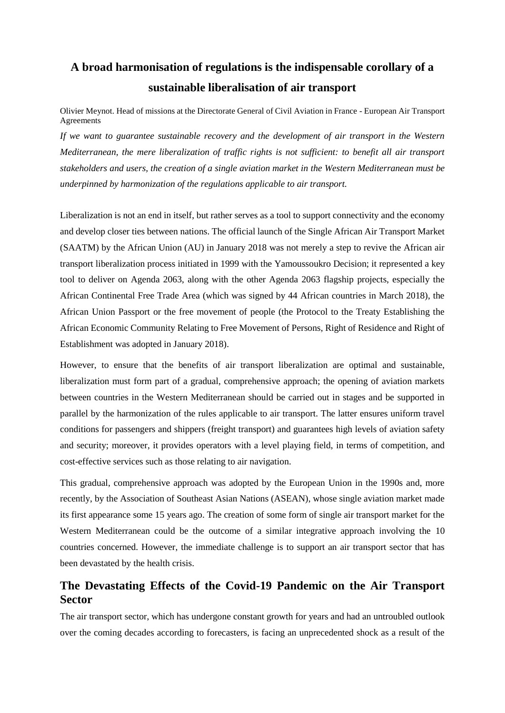# **A broad harmonisation of regulations is the indispensable corollary of a sustainable liberalisation of air transport**

Olivier Meynot. Head of missions at the Directorate General of Civil Aviation in France - European Air Transport Agreements

*If we want to guarantee sustainable recovery and the development of air transport in the Western Mediterranean, the mere liberalization of traffic rights is not sufficient: to benefit all air transport stakeholders and users, the creation of a single aviation market in the Western Mediterranean must be underpinned by harmonization of the regulations applicable to air transport.*

Liberalization is not an end in itself, but rather serves as a tool to support connectivity and the economy and develop closer ties between nations. The official launch of the Single African Air Transport Market (SAATM) by the African Union (AU) in January 2018 was not merely a step to revive the African air transport liberalization process initiated in 1999 with the Yamoussoukro Decision; it represented a key tool to deliver on Agenda 2063, along with the other Agenda 2063 flagship projects, especially the African Continental Free Trade Area (which was signed by 44 African countries in March 2018), the African Union Passport or the free movement of people (the Protocol to the Treaty Establishing the African Economic Community Relating to Free Movement of Persons, Right of Residence and Right of Establishment was adopted in January 2018).

However, to ensure that the benefits of air transport liberalization are optimal and sustainable, liberalization must form part of a gradual, comprehensive approach; the opening of aviation markets between countries in the Western Mediterranean should be carried out in stages and be supported in parallel by the harmonization of the rules applicable to air transport. The latter ensures uniform travel conditions for passengers and shippers (freight transport) and guarantees high levels of aviation safety and security; moreover, it provides operators with a level playing field, in terms of competition, and cost-effective services such as those relating to air navigation.

This gradual, comprehensive approach was adopted by the European Union in the 1990s and, more recently, by the Association of Southeast Asian Nations (ASEAN), whose single aviation market made its first appearance some 15 years ago. The creation of some form of single air transport market for the Western Mediterranean could be the outcome of a similar integrative approach involving the 10 countries concerned. However, the immediate challenge is to support an air transport sector that has been devastated by the health crisis.

## **The Devastating Effects of the Covid-19 Pandemic on the Air Transport Sector**

The air transport sector, which has undergone constant growth for years and had an untroubled outlook over the coming decades according to forecasters, is facing an unprecedented shock as a result of the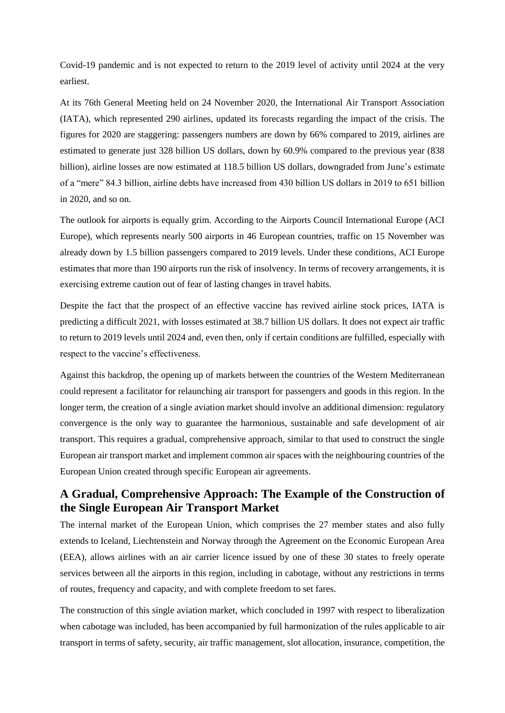Covid-19 pandemic and is not expected to return to the 2019 level of activity until 2024 at the very earliest.

At its 76th General Meeting held on 24 November 2020, the International Air Transport Association (IATA), which represented 290 airlines, updated its forecasts regarding the impact of the crisis. The figures for 2020 are staggering: passengers numbers are down by 66% compared to 2019, airlines are estimated to generate just 328 billion US dollars, down by 60.9% compared to the previous year (838 billion), airline losses are now estimated at 118.5 billion US dollars, downgraded from June's estimate of a "mere" 84.3 billion, airline debts have increased from 430 billion US dollars in 2019 to 651 billion in 2020, and so on.

The outlook for airports is equally grim. According to the Airports Council International Europe (ACI Europe), which represents nearly 500 airports in 46 European countries, traffic on 15 November was already down by 1.5 billion passengers compared to 2019 levels. Under these conditions, ACI Europe estimates that more than 190 airports run the risk of insolvency. In terms of recovery arrangements, it is exercising extreme caution out of fear of lasting changes in travel habits.

Despite the fact that the prospect of an effective vaccine has revived airline stock prices, IATA is predicting a difficult 2021, with losses estimated at 38.7 billion US dollars. It does not expect air traffic to return to 2019 levels until 2024 and, even then, only if certain conditions are fulfilled, especially with respect to the vaccine's effectiveness.

Against this backdrop, the opening up of markets between the countries of the Western Mediterranean could represent a facilitator for relaunching air transport for passengers and goods in this region. In the longer term, the creation of a single aviation market should involve an additional dimension: regulatory convergence is the only way to guarantee the harmonious, sustainable and safe development of air transport. This requires a gradual, comprehensive approach, similar to that used to construct the single European air transport market and implement common air spaces with the neighbouring countries of the European Union created through specific European air agreements.

## **A Gradual, Comprehensive Approach: The Example of the Construction of the Single European Air Transport Market**

The internal market of the European Union, which comprises the 27 member states and also fully extends to Iceland, Liechtenstein and Norway through the Agreement on the Economic European Area (EEA), allows airlines with an air carrier licence issued by one of these 30 states to freely operate services between all the airports in this region, including in cabotage, without any restrictions in terms of routes, frequency and capacity, and with complete freedom to set fares.

The construction of this single aviation market, which concluded in 1997 with respect to liberalization when cabotage was included, has been accompanied by full harmonization of the rules applicable to air transport in terms of safety, security, air traffic management, slot allocation, insurance, competition, the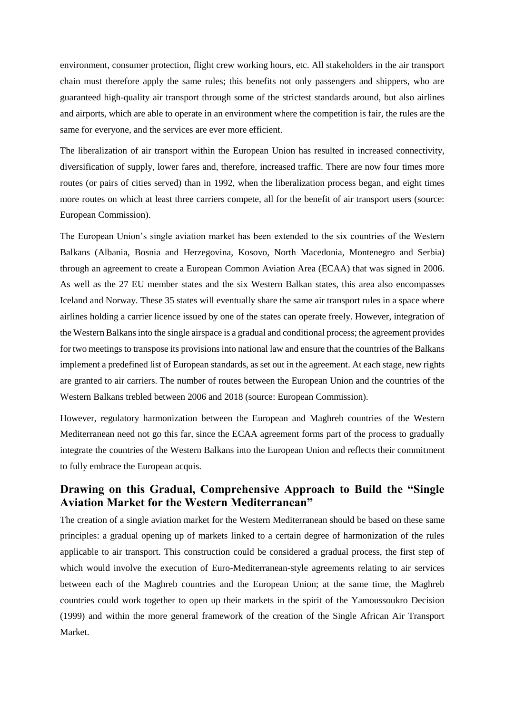environment, consumer protection, flight crew working hours, etc. All stakeholders in the air transport chain must therefore apply the same rules; this benefits not only passengers and shippers, who are guaranteed high-quality air transport through some of the strictest standards around, but also airlines and airports, which are able to operate in an environment where the competition is fair, the rules are the same for everyone, and the services are ever more efficient.

The liberalization of air transport within the European Union has resulted in increased connectivity, diversification of supply, lower fares and, therefore, increased traffic. There are now four times more routes (or pairs of cities served) than in 1992, when the liberalization process began, and eight times more routes on which at least three carriers compete, all for the benefit of air transport users (source: European Commission).

The European Union's single aviation market has been extended to the six countries of the Western Balkans (Albania, Bosnia and Herzegovina, Kosovo, North Macedonia, Montenegro and Serbia) through an agreement to create a European Common Aviation Area (ECAA) that was signed in 2006. As well as the 27 EU member states and the six Western Balkan states, this area also encompasses Iceland and Norway. These 35 states will eventually share the same air transport rules in a space where airlines holding a carrier licence issued by one of the states can operate freely. However, integration of the Western Balkansinto the single airspace is a gradual and conditional process; the agreement provides for two meetings to transpose its provisions into national law and ensure that the countries of the Balkans implement a predefined list of European standards, as set out in the agreement. At each stage, new rights are granted to air carriers. The number of routes between the European Union and the countries of the Western Balkans trebled between 2006 and 2018 (source: European Commission).

However, regulatory harmonization between the European and Maghreb countries of the Western Mediterranean need not go this far, since the ECAA agreement forms part of the process to gradually integrate the countries of the Western Balkans into the European Union and reflects their commitment to fully embrace the European acquis.

#### **Drawing on this Gradual, Comprehensive Approach to Build the "Single Aviation Market for the Western Mediterranean"**

The creation of a single aviation market for the Western Mediterranean should be based on these same principles: a gradual opening up of markets linked to a certain degree of harmonization of the rules applicable to air transport. This construction could be considered a gradual process, the first step of which would involve the execution of Euro-Mediterranean-style agreements relating to air services between each of the Maghreb countries and the European Union; at the same time, the Maghreb countries could work together to open up their markets in the spirit of the Yamoussoukro Decision (1999) and within the more general framework of the creation of the Single African Air Transport Market.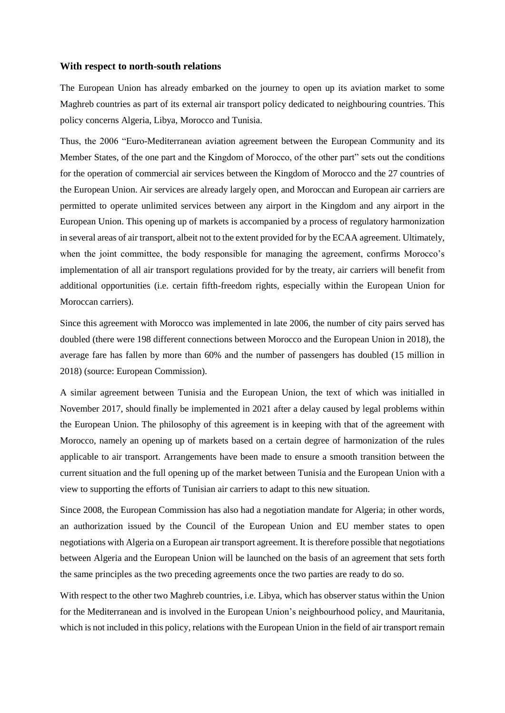#### **With respect to north-south relations**

The European Union has already embarked on the journey to open up its aviation market to some Maghreb countries as part of its external air transport policy dedicated to neighbouring countries. This policy concerns Algeria, Libya, Morocco and Tunisia.

Thus, the 2006 "Euro-Mediterranean aviation agreement between the European Community and its Member States, of the one part and the Kingdom of Morocco, of the other part" sets out the conditions for the operation of commercial air services between the Kingdom of Morocco and the 27 countries of the European Union. Air services are already largely open, and Moroccan and European air carriers are permitted to operate unlimited services between any airport in the Kingdom and any airport in the European Union. This opening up of markets is accompanied by a process of regulatory harmonization in several areas of air transport, albeit not to the extent provided for by the ECAA agreement. Ultimately, when the joint committee, the body responsible for managing the agreement, confirms Morocco's implementation of all air transport regulations provided for by the treaty, air carriers will benefit from additional opportunities (i.e. certain fifth-freedom rights, especially within the European Union for Moroccan carriers).

Since this agreement with Morocco was implemented in late 2006, the number of city pairs served has doubled (there were 198 different connections between Morocco and the European Union in 2018), the average fare has fallen by more than 60% and the number of passengers has doubled (15 million in 2018) (source: European Commission).

A similar agreement between Tunisia and the European Union, the text of which was initialled in November 2017, should finally be implemented in 2021 after a delay caused by legal problems within the European Union. The philosophy of this agreement is in keeping with that of the agreement with Morocco, namely an opening up of markets based on a certain degree of harmonization of the rules applicable to air transport. Arrangements have been made to ensure a smooth transition between the current situation and the full opening up of the market between Tunisia and the European Union with a view to supporting the efforts of Tunisian air carriers to adapt to this new situation.

Since 2008, the European Commission has also had a negotiation mandate for Algeria; in other words, an authorization issued by the Council of the European Union and EU member states to open negotiations with Algeria on a European air transport agreement. It is therefore possible that negotiations between Algeria and the European Union will be launched on the basis of an agreement that sets forth the same principles as the two preceding agreements once the two parties are ready to do so.

With respect to the other two Maghreb countries, i.e. Libya, which has observer status within the Union for the Mediterranean and is involved in the European Union's neighbourhood policy, and Mauritania, which is not included in this policy, relations with the European Union in the field of air transport remain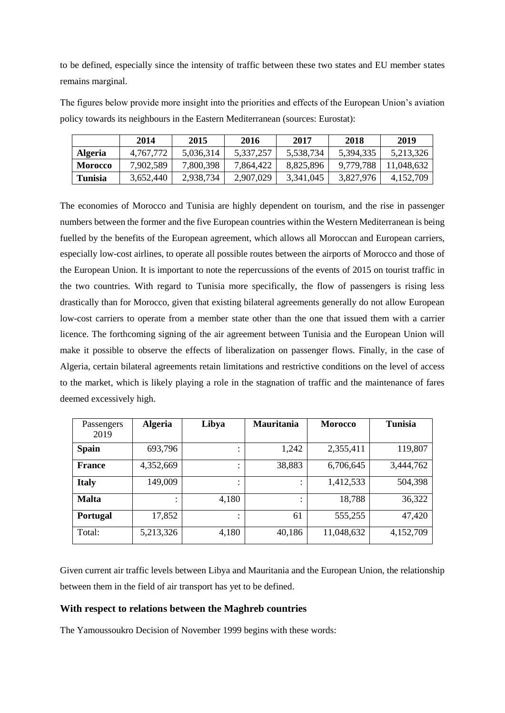to be defined, especially since the intensity of traffic between these two states and EU member states remains marginal.

The figures below provide more insight into the priorities and effects of the European Union's aviation policy towards its neighbours in the Eastern Mediterranean (sources: Eurostat):

|                | 2014      | 2015      | 2016      | 2017      | 2018      | 2019       |
|----------------|-----------|-----------|-----------|-----------|-----------|------------|
| <b>Algeria</b> | 4,767,772 | 5,036,314 | 5,337,257 | 5,538,734 | 5,394,335 | 5,213,326  |
| <b>Morocco</b> | 7,902,589 | 7,800,398 | 7.864.422 | 8.825.896 | 9.779.788 | 11.048.632 |
| <b>Tunisia</b> | 3,652,440 | 2,938,734 | 2,907,029 | 3,341,045 | 3,827,976 | 4,152,709  |

The economies of Morocco and Tunisia are highly dependent on tourism, and the rise in passenger numbers between the former and the five European countries within the Western Mediterranean is being fuelled by the benefits of the European agreement, which allows all Moroccan and European carriers, especially low-cost airlines, to operate all possible routes between the airports of Morocco and those of the European Union. It is important to note the repercussions of the events of 2015 on tourist traffic in the two countries. With regard to Tunisia more specifically, the flow of passengers is rising less drastically than for Morocco, given that existing bilateral agreements generally do not allow European low-cost carriers to operate from a member state other than the one that issued them with a carrier licence. The forthcoming signing of the air agreement between Tunisia and the European Union will make it possible to observe the effects of liberalization on passenger flows. Finally, in the case of Algeria, certain bilateral agreements retain limitations and restrictive conditions on the level of access to the market, which is likely playing a role in the stagnation of traffic and the maintenance of fares deemed excessively high.

| Passengers<br>2019 | <b>Algeria</b> | Libya | <b>Mauritania</b> | <b>Morocco</b> | <b>Tunisia</b> |
|--------------------|----------------|-------|-------------------|----------------|----------------|
| <b>Spain</b>       | 693,796        | ٠     | 1,242             | 2,355,411      | 119,807        |
| <b>France</b>      | 4,352,669      | ٠     | 38,883            | 6,706,645      | 3,444,762      |
| <b>Italy</b>       | 149,009        |       |                   | 1,412,533      | 504,398        |
| <b>Malta</b>       |                | 4,180 |                   | 18,788         | 36,322         |
| <b>Portugal</b>    | 17,852         | ٠     | 61                | 555,255        | 47,420         |
| Total:             | 5,213,326      | 4,180 | 40,186            | 11,048,632     | 4,152,709      |

Given current air traffic levels between Libya and Mauritania and the European Union, the relationship between them in the field of air transport has yet to be defined.

#### **With respect to relations between the Maghreb countries**

The Yamoussoukro Decision of November 1999 begins with these words: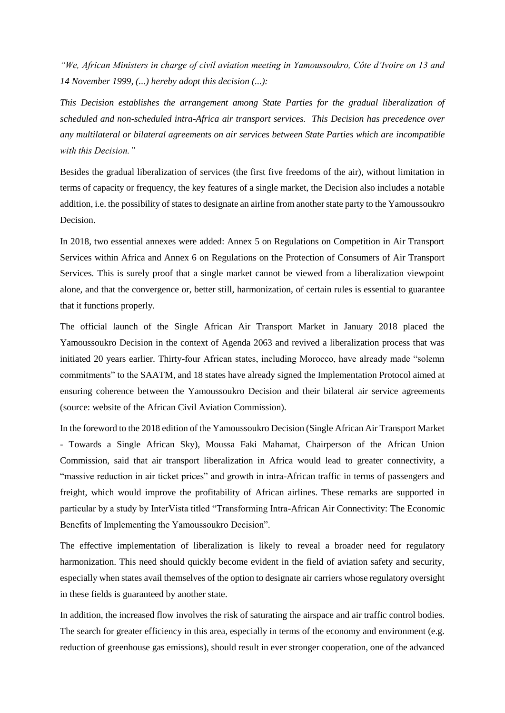*"We, African Ministers in charge of civil aviation meeting in Yamoussoukro, Côte d'Ivoire on 13 and 14 November 1999, (...) hereby adopt this decision (...):*

*This Decision establishes the arrangement among State Parties for the gradual liberalization of scheduled and non-scheduled intra-Africa air transport services. This Decision has precedence over any multilateral or bilateral agreements on air services between State Parties which are incompatible with this Decision."*

Besides the gradual liberalization of services (the first five freedoms of the air), without limitation in terms of capacity or frequency, the key features of a single market, the Decision also includes a notable addition, i.e. the possibility of states to designate an airline from another state party to the Yamoussoukro Decision.

In 2018, two essential annexes were added: Annex 5 on Regulations on Competition in Air Transport Services within Africa and Annex 6 on Regulations on the Protection of Consumers of Air Transport Services. This is surely proof that a single market cannot be viewed from a liberalization viewpoint alone, and that the convergence or, better still, harmonization, of certain rules is essential to guarantee that it functions properly.

The official launch of the Single African Air Transport Market in January 2018 placed the Yamoussoukro Decision in the context of Agenda 2063 and revived a liberalization process that was initiated 20 years earlier. Thirty-four African states, including Morocco, have already made "solemn commitments" to the SAATM, and 18 states have already signed the Implementation Protocol aimed at ensuring coherence between the Yamoussoukro Decision and their bilateral air service agreements (source: website of the African Civil Aviation Commission).

In the foreword to the 2018 edition of the Yamoussoukro Decision (Single African Air Transport Market - Towards a Single African Sky), Moussa Faki Mahamat, Chairperson of the African Union Commission, said that air transport liberalization in Africa would lead to greater connectivity, a "massive reduction in air ticket prices" and growth in intra-African traffic in terms of passengers and freight, which would improve the profitability of African airlines. These remarks are supported in particular by a study by InterVista titled "Transforming Intra-African Air Connectivity: The Economic Benefits of Implementing the Yamoussoukro Decision".

The effective implementation of liberalization is likely to reveal a broader need for regulatory harmonization. This need should quickly become evident in the field of aviation safety and security, especially when states avail themselves of the option to designate air carriers whose regulatory oversight in these fields is guaranteed by another state.

In addition, the increased flow involves the risk of saturating the airspace and air traffic control bodies. The search for greater efficiency in this area, especially in terms of the economy and environment (e.g. reduction of greenhouse gas emissions), should result in ever stronger cooperation, one of the advanced